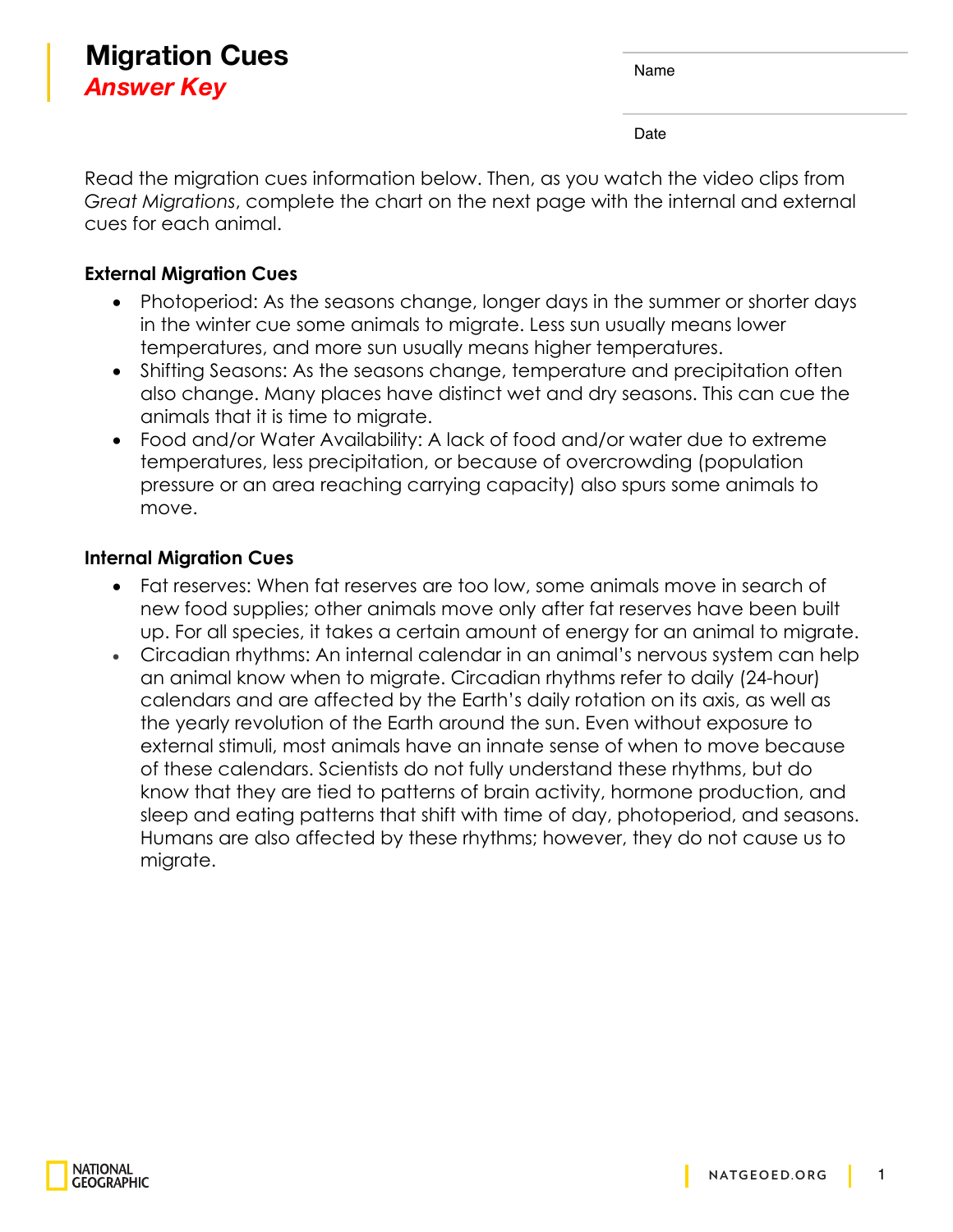## **Migration Cues** *Answer Key*

Date

Read the migration cues information below. Then, as you watch the video clips from *Great Migrations*, complete the chart on the next page with the internal and external cues for each animal.

## **External Migration Cues**

- Photoperiod: As the seasons change, longer days in the summer or shorter days in the winter cue some animals to migrate. Less sun usually means lower temperatures, and more sun usually means higher temperatures.
- Shifting Seasons: As the seasons change, temperature and precipitation often also change. Many places have distinct wet and dry seasons. This can cue the animals that it is time to migrate.
- Food and/or Water Availability: A lack of food and/or water due to extreme temperatures, less precipitation, or because of overcrowding (population pressure or an area reaching carrying capacity) also spurs some animals to move.

## **Internal Migration Cues**

- Fat reserves: When fat reserves are too low, some animals move in search of new food supplies; other animals move only after fat reserves have been built up. For all species, it takes a certain amount of energy for an animal to migrate.
- Circadian rhythms: An internal calendar in an animal's nervous system can help an animal know when to migrate. Circadian rhythms refer to daily (24-hour) calendars and are affected by the Earth's daily rotation on its axis, as well as the yearly revolution of the Earth around the sun. Even without exposure to external stimuli, most animals have an innate sense of when to move because of these calendars. Scientists do not fully understand these rhythms, but do know that they are tied to patterns of brain activity, hormone production, and sleep and eating patterns that shift with time of day, photoperiod, and seasons. Humans are also affected by these rhythms; however, they do not cause us to migrate.